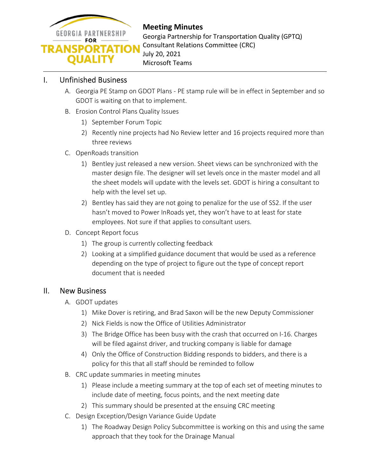

**Meeting Minutes**  Georgia Partnership for Transportation Quality (GPTQ) Consultant Relations Committee (CRC) July 20, 2021 Microsoft Teams

### I. Unfinished Business

- A. Georgia PE Stamp on GDOT Plans PE stamp rule will be in effect in September and so GDOT is waiting on that to implement.
- B. Erosion Control Plans Quality Issues
	- 1) September Forum Topic
	- 2) Recently nine projects had No Review letter and 16 projects required more than three reviews
- C. OpenRoads transition
	- 1) Bentley just released a new version. Sheet views can be synchronized with the master design file. The designer will set levels once in the master model and all the sheet models will update with the levels set. GDOT is hiring a consultant to help with the level set up.
	- 2) Bentley has said they are not going to penalize for the use of SS2. If the user hasn't moved to Power InRoads yet, they won't have to at least for state employees. Not sure if that applies to consultant users.
- D. Concept Report focus
	- 1) The group is currently collecting feedback
	- 2) Looking at a simplified guidance document that would be used as a reference depending on the type of project to figure out the type of concept report document that is needed

### II. New Business

- A. GDOT updates
	- 1) Mike Dover is retiring, and Brad Saxon will be the new Deputy Commissioner
	- 2) Nick Fields is now the Office of Utilities Administrator
	- 3) The Bridge Office has been busy with the crash that occurred on I-16. Charges will be filed against driver, and trucking company is liable for damage
	- 4) Only the Office of Construction Bidding responds to bidders, and there is a policy for this that all staff should be reminded to follow
- B. CRC update summaries in meeting minutes
	- 1) Please include a meeting summary at the top of each set of meeting minutes to include date of meeting, focus points, and the next meeting date
	- 2) This summary should be presented at the ensuing CRC meeting
- C. Design Exception/Design Variance Guide Update
	- 1) The Roadway Design Policy Subcommittee is working on this and using the same approach that they took for the Drainage Manual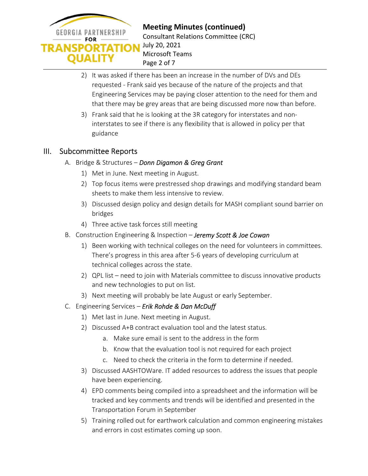

**Meeting Minutes (continued)**  Consultant Relations Committee (CRC) July 20, 2021 Microsoft Teams Page 2 of 7

- 2) It was asked if there has been an increase in the number of DVs and DEs requested - Frank said yes because of the nature of the projects and that Engineering Services may be paying closer attention to the need for them and that there may be grey areas that are being discussed more now than before.
- 3) Frank said that he is looking at the 3R category for interstates and noninterstates to see if there is any flexibility that is allowed in policy per that guidance

## III. Subcommittee Reports

- A. Bridge & Structures *Donn Digamon & Greg Grant*
	- 1) Met in June. Next meeting in August.
	- 2) Top focus items were prestressed shop drawings and modifying standard beam sheets to make them less intensive to review.
	- 3) Discussed design policy and design details for MASH compliant sound barrier on bridges
	- 4) Three active task forces still meeting
- B. Construction Engineering & Inspection *Jeremy Scott & Joe Cowan* 
	- 1) Been working with technical colleges on the need for volunteers in committees. There's progress in this area after 5-6 years of developing curriculum at technical colleges across the state.
	- 2) QPL list need to join with Materials committee to discuss innovative products and new technologies to put on list.
	- 3) Next meeting will probably be late August or early September.
- C. Engineering Services *Erik Rohde & Dan McDuff*
	- 1) Met last in June. Next meeting in August.
	- 2) Discussed A+B contract evaluation tool and the latest status.
		- a. Make sure email is sent to the address in the form
		- b. Know that the evaluation tool is not required for each project
		- c. Need to check the criteria in the form to determine if needed.
	- 3) Discussed AASHTOWare. IT added resources to address the issues that people have been experiencing.
	- 4) EPD comments being compiled into a spreadsheet and the information will be tracked and key comments and trends will be identified and presented in the Transportation Forum in September
	- 5) Training rolled out for earthwork calculation and common engineering mistakes and errors in cost estimates coming up soon.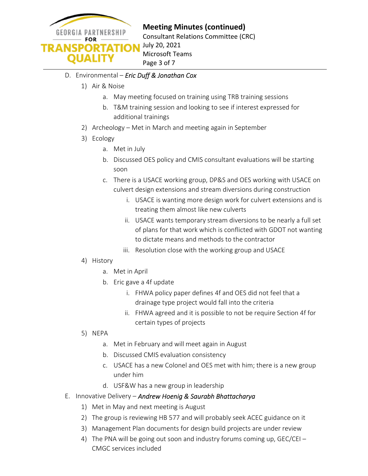

## **Meeting Minutes (continued)**

Consultant Relations Committee (CRC) July 20, 2021 Microsoft Teams Page 3 of 7

### D. Environmental – *Eric Duff & Jonathan Cox*

- 1) Air & Noise
	- a. May meeting focused on training using TRB training sessions
	- b. T&M training session and looking to see if interest expressed for additional trainings
- 2) Archeology Met in March and meeting again in September
- 3) Ecology
	- a. Met in July
	- b. Discussed OES policy and CMIS consultant evaluations will be starting soon
	- c. There is a USACE working group, DP&S and OES working with USACE on culvert design extensions and stream diversions during construction
		- i. USACE is wanting more design work for culvert extensions and is treating them almost like new culverts
		- ii. USACE wants temporary stream diversions to be nearly a full set of plans for that work which is conflicted with GDOT not wanting to dictate means and methods to the contractor
		- iii. Resolution close with the working group and USACE
- 4) History
	- a. Met in April
	- b. Eric gave a 4f update
		- i. FHWA policy paper defines 4f and OES did not feel that a drainage type project would fall into the criteria
		- ii. FHWA agreed and it is possible to not be require Section 4f for certain types of projects
- 5) NEPA
	- a. Met in February and will meet again in August
	- b. Discussed CMIS evaluation consistency
	- c. USACE has a new Colonel and OES met with him; there is a new group under him
	- d. USF&W has a new group in leadership
- E. Innovative Delivery *Andrew Hoenig & Saurabh Bhattacharya*
	- 1) Met in May and next meeting is August
	- 2) The group is reviewing HB 577 and will probably seek ACEC guidance on it
	- 3) Management Plan documents for design build projects are under review
	- 4) The PNA will be going out soon and industry forums coming up, GEC/CEI CMGC services included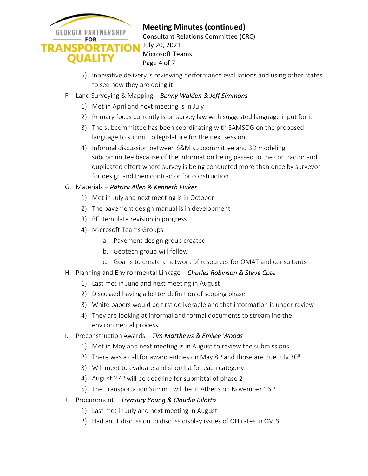

**Meeting Minutes (continued)**  Consultant Relations Committee (CRC) July 20, 2021 Microsoft Teams Page 4 of 7

- 5) Innovative delivery is reviewing performance evaluations and using other states to see how they are doing it
- F. Land Surveying & Mapping *Benny Walden & Jeff Simmons*
	- 1) Met in April and next meeting is in July
	- 2) Primary focus currently is on survey law with suggested language input for it
	- 3) The subcommittee has been coordinating with SAMSOG on the proposed language to submit to legislature for the next session
	- 4) Informal discussion between S&M subcommittee and 3D modeling subcommittee because of the information being passed to the contractor and duplicated effort where survey is being conducted more than once by surveyor for design and then contractor for construction

### G. Materials – *Patrick Allen & Kenneth Fluker*

- 1) Met in July and next meeting is in October
- 2) The pavement design manual is in development
- 3) BFI template revision in progress
- 4) Microsoft Teams Groups
	- a. Pavement design group created
	- b. Geotech group will follow
	- c. Goal is to create a network of resources for OMAT and consultants
- H. Planning and Environmental Linkage *Charles Robinson & Steve Cote* 
	- 1) Last met in June and next meeting in August
	- 2) Discussed having a better definition of scoping phase
	- 3) White papers would be first deliverable and that information is under review
	- 4) They are looking at informal and formal documents to streamline the environmental process
- I. Preconstruction Awards *Tim Matthews & Emilee Woods*
	- 1) Met in May and next meeting is in August to review the submissions.
	- 2) There was a call for award entries on May  $8<sup>th</sup>$  and those are due July  $30<sup>th</sup>$ .
	- 3) Will meet to evaluate and shortlist for each category
	- 4) August  $27<sup>th</sup>$  will be deadline for submittal of phase 2
	- 5) The Transportation Summit will be in Athens on November  $16<sup>th</sup>$
- J. Procurement *Treasury Young & Claudia Bilotto*
	- 1) Last met in July and next meeting in August
	- 2) Had an IT discussion to discuss display issues of OH rates in CMIS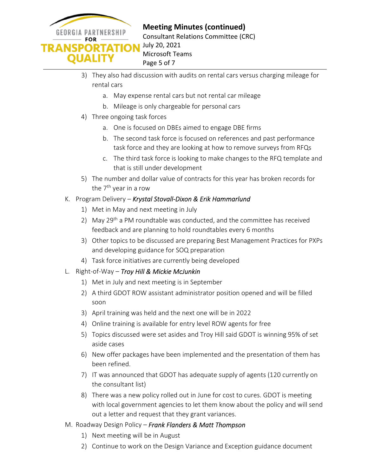

- 3) They also had discussion with audits on rental cars versus charging mileage for rental cars
	- a. May expense rental cars but not rental car mileage
	- b. Mileage is only chargeable for personal cars
- 4) Three ongoing task forces
	- a. One is focused on DBEs aimed to engage DBE firms
	- b. The second task force is focused on references and past performance task force and they are looking at how to remove surveys from RFQs
	- c. The third task force is looking to make changes to the RFQ template and that is still under development
- 5) The number and dollar value of contracts for this year has broken records for the 7<sup>th</sup> year in a row
- K. Program Delivery *Krystal Stovall-Dixon & Erik Hammarlund*
	- 1) Met in May and next meeting in July
	- 2) May  $29^{th}$  a PM roundtable was conducted, and the committee has received feedback and are planning to hold roundtables every 6 months
	- 3) Other topics to be discussed are preparing Best Management Practices for PXPs and developing guidance for SOQ preparation
	- 4) Task force initiatives are currently being developed
- L. Right-of-Way *Troy Hill & Mickie McJunkin*
	- 1) Met in July and next meeting is in September
	- 2) A third GDOT ROW assistant administrator position opened and will be filled soon
	- 3) April training was held and the next one will be in 2022
	- 4) Online training is available for entry level ROW agents for free
	- 5) Topics discussed were set asides and Troy Hill said GDOT is winning 95% of set aside cases
	- 6) New offer packages have been implemented and the presentation of them has been refined.
	- 7) IT was announced that GDOT has adequate supply of agents (120 currently on the consultant list)
	- 8) There was a new policy rolled out in June for cost to cures. GDOT is meeting with local government agencies to let them know about the policy and will send out a letter and request that they grant variances.
- M. Roadway Design Policy *Frank Flanders & Matt Thompson*
	- 1) Next meeting will be in August
	- 2) Continue to work on the Design Variance and Exception guidance document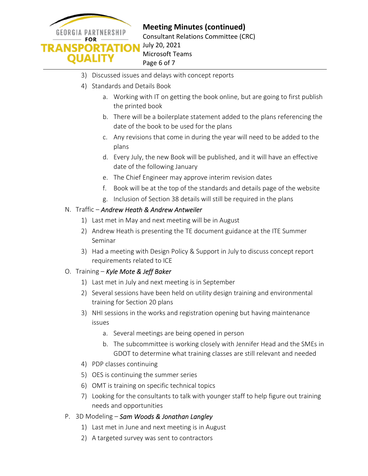

**Meeting Minutes (continued)**  Consultant Relations Committee (CRC) July 20, 2021

Microsoft Teams Page 6 of 7

- 3) Discussed issues and delays with concept reports
- 4) Standards and Details Book
	- a. Working with IT on getting the book online, but are going to first publish the printed book
	- b. There will be a boilerplate statement added to the plans referencing the date of the book to be used for the plans
	- c. Any revisions that come in during the year will need to be added to the plans
	- d. Every July, the new Book will be published, and it will have an effective date of the following January
	- e. The Chief Engineer may approve interim revision dates
	- f. Book will be at the top of the standards and details page of the website
	- g. Inclusion of Section 38 details will still be required in the plans

### N. Traffic – *Andrew Heath & Andrew Antweiler*

- 1) Last met in May and next meeting will be in August
- 2) Andrew Heath is presenting the TE document guidance at the ITE Summer Seminar
- 3) Had a meeting with Design Policy & Support in July to discuss concept report requirements related to ICE

### O. Training – *Kyle Mote & Jeff Baker*

- 1) Last met in July and next meeting is in September
- 2) Several sessions have been held on utility design training and environmental training for Section 20 plans
- 3) NHI sessions in the works and registration opening but having maintenance issues
	- a. Several meetings are being opened in person
	- b. The subcommittee is working closely with Jennifer Head and the SMEs in GDOT to determine what training classes are still relevant and needed
- 4) PDP classes continuing
- 5) OES is continuing the summer series
- 6) OMT is training on specific technical topics
- 7) Looking for the consultants to talk with younger staff to help figure out training needs and opportunities
- P. 3D Modeling *Sam Woods & Jonathan Langley*
	- 1) Last met in June and next meeting is in August
	- 2) A targeted survey was sent to contractors